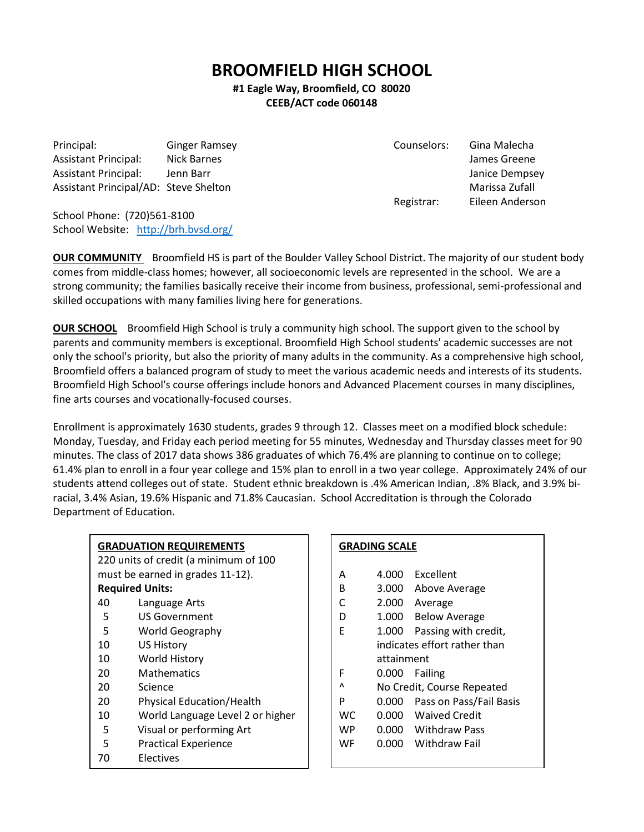# **BROOMFIELD HIGH SCHOOL**

## **#1 Eagle Way, Broomfield, CO 80020 CEEB/ACT code 060148**

Principal: Ginger Ramsey Counselors: Gina Malecha Assistant Principal: Nick Barnes James Greene Assistant Principal: Jenn Barr Janice Dempsey Janice Dempsey Assistant Principal/AD: Steve Shelton Marissa Zufall Marissa Zufall

Registrar: Eileen Anderson

School Phone: (720)561-8100 School Website: <http://brh.bvsd.org/>

**OUR COMMUNITY** Broomfield HS is part of the Boulder Valley School District. The majority of our student body comes from middle-class homes; however, all socioeconomic levels are represented in the school. We are a strong community; the families basically receive their income from business, professional, semi-professional and skilled occupations with many families living here for generations.

**OUR SCHOOL** Broomfield High School is truly a community high school. The support given to the school by parents and community members is exceptional. Broomfield High School students' academic successes are not only the school's priority, but also the priority of many adults in the community. As a comprehensive high school, Broomfield offers a balanced program of study to meet the various academic needs and interests of its students. Broomfield High School's course offerings include honors and Advanced Placement courses in many disciplines, fine arts courses and vocationally-focused courses.

Enrollment is approximately 1630 students, grades 9 through 12. Classes meet on a modified block schedule: Monday, Tuesday, and Friday each period meeting for 55 minutes, Wednesday and Thursday classes meet for 90 minutes. The class of 2017 data shows 386 graduates of which 76.4% are planning to continue on to college; 61.4% plan to enroll in a four year college and 15% plan to enroll in a two year college. Approximately 24% of our students attend colleges out of state. Student ethnic breakdown is .4% American Indian, .8% Black, and 3.9% biracial, 3.4% Asian, 19.6% Hispanic and 71.8% Caucasian. School Accreditation is through the Colorado Department of Education.

# **GRADUATION REQUIREMENTS**

220 units of credit (a minimum of 100 must be earned in grades 11-12). **Required Units:**

- 40 Language Arts
- 5 US Government
- 5 World Geography
- 10 US History
- 10 World History
- 20 Mathematics
- 20 Science
- 20 Physical Education/Health
- 10 World Language Level 2 or higher
- 5 Visual or performing Art
- 5 Practical Experience
- 70 Electives

#### **GRADING SCALE**

- A 4.000 Excellent
- B 3.000 Above Average
- C 2.000 Average
- D 1.000 Below Average
- E 1.000 Passing with credit, indicates effort rather than attainment
- F 0.000 Failing
- ^ No Credit, Course Repeated
- P 0.000 Pass on Pass/Fail Basis
- WC 0.000 Waived Credit
- WP 0.000 Withdraw Pass
- WF 0.000 Withdraw Fail